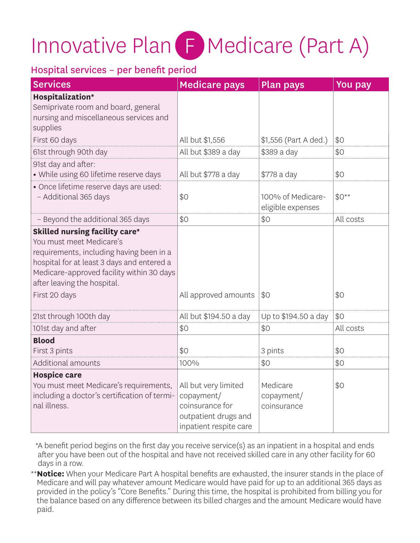## Innovative Plan F Medicare (Part A)

#### Hospital services – per benefit period

| <b>Services</b>                                                                                                                                                                                                                                   | <b>Medicare pays</b>                                                                                    | <b>Plan pays</b>                       | <b>You pay</b> |
|---------------------------------------------------------------------------------------------------------------------------------------------------------------------------------------------------------------------------------------------------|---------------------------------------------------------------------------------------------------------|----------------------------------------|----------------|
| Hospitalization*<br>Semiprivate room and board, general<br>nursing and miscellaneous services and<br>supplies                                                                                                                                     |                                                                                                         |                                        |                |
| First 60 days                                                                                                                                                                                                                                     | All but \$1,556                                                                                         | \$1,556 (Part A ded.)                  | \$0            |
| 61st through 90th day                                                                                                                                                                                                                             | All but \$389 a day                                                                                     | \$389 a day                            | \$0            |
| 91st day and after:<br>• While using 60 lifetime reserve days                                                                                                                                                                                     | All but \$778 a day                                                                                     | \$778 a day                            | \$0            |
| · Once lifetime reserve days are used:<br>- Additional 365 days                                                                                                                                                                                   | \$0                                                                                                     | 100% of Medicare-<br>eligible expenses | $$0**$         |
| - Beyond the additional 365 days                                                                                                                                                                                                                  | \$0                                                                                                     | \$0                                    | All costs      |
| Skilled nursing facility care*<br>You must meet Medicare's<br>requirements, including having been in a<br>hospital for at least 3 days and entered a<br>Medicare-approved facility within 30 days<br>after leaving the hospital.<br>First 20 days | All approved amounts                                                                                    | \$0                                    | \$0            |
| 21st through 100th day                                                                                                                                                                                                                            | All but \$194.50 a day                                                                                  | Up to \$194.50 a day                   | \$0            |
| 101st day and after                                                                                                                                                                                                                               | \$0                                                                                                     | \$0                                    | All costs      |
| <b>Blood</b><br>First 3 pints                                                                                                                                                                                                                     | \$0                                                                                                     | 3 pints                                | \$0            |
| Additional amounts                                                                                                                                                                                                                                | 100%                                                                                                    | \$0                                    | \$0            |
| <b>Hospice care</b><br>You must meet Medicare's requirements,<br>including a doctor's certification of termi-<br>nal illness.                                                                                                                     | All but very limited<br>copayment/<br>coinsurance for<br>outpatient drugs and<br>inpatient respite care | Medicare<br>copayment/<br>coinsurance  | \$0            |

\* A benefit period begins on the first day you receive service(s) as an inpatient in a hospital and ends after you have been out of the hospital and have not received skilled care in any other facility for 60 days in a row.

\*\* **Notice:** When your Medicare Part A hospital benefits are exhausted, the insurer stands in the place of Medicare and will pay whatever amount Medicare would have paid for up to an additional 365 days as provided in the policy's "Core Benefits." During this time, the hospital is prohibited from billing you for the balance based on any difference between its billed charges and the amount Medicare would have paid.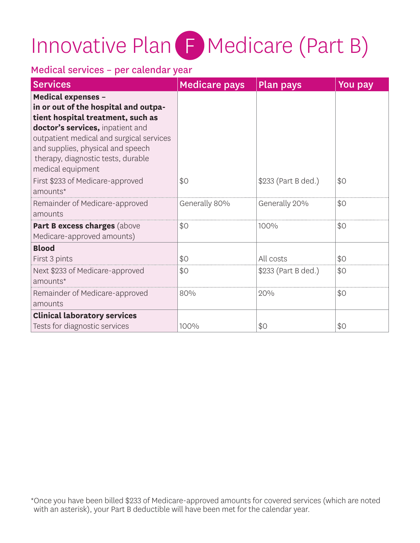# Innovative Plan F Medicare (Part B)

### Medical services – per calendar year

| <b>Services</b>                                                                                                                                                                                                                                                                        | <b>Medicare pays</b> | <b>Plan pays</b>    | You pay |
|----------------------------------------------------------------------------------------------------------------------------------------------------------------------------------------------------------------------------------------------------------------------------------------|----------------------|---------------------|---------|
| <b>Medical expenses -</b><br>in or out of the hospital and outpa-<br>tient hospital treatment, such as<br>doctor's services, inpatient and<br>outpatient medical and surgical services<br>and supplies, physical and speech<br>therapy, diagnostic tests, durable<br>medical equipment |                      |                     |         |
| First \$233 of Medicare-approved<br>amounts*                                                                                                                                                                                                                                           | \$0                  | \$233 (Part B ded.) | \$0     |
| Remainder of Medicare-approved<br>amounts                                                                                                                                                                                                                                              | Generally 80%        | Generally 20%       | \$0     |
| Part B excess charges (above<br>Medicare-approved amounts)                                                                                                                                                                                                                             | \$0                  | 100%                | \$0     |
| <b>Blood</b><br>First 3 pints                                                                                                                                                                                                                                                          | \$0                  | All costs           | \$0     |
| Next \$233 of Medicare-approved<br>amounts*                                                                                                                                                                                                                                            | \$0                  | \$233 (Part B ded.) | \$0     |
| Remainder of Medicare-approved<br>amounts                                                                                                                                                                                                                                              | 80%                  | 20%                 | \$0     |
| <b>Clinical laboratory services</b><br>Tests for diagnostic services                                                                                                                                                                                                                   | 100%                 | \$0                 | \$0     |

\* Once you have been billed \$233 of Medicare-approved amounts for covered services (which are noted with an asterisk), your Part B deductible will have been met for the calendar year.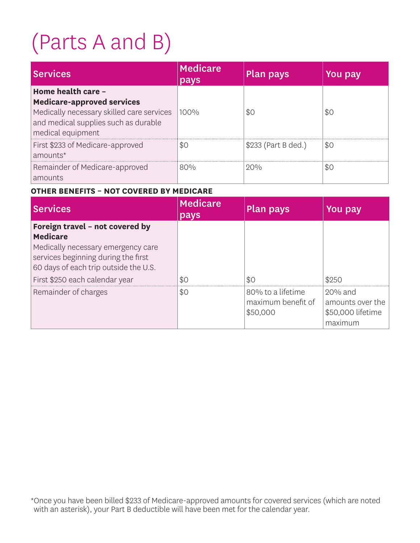### (Parts A and B)

| <b>Services</b>                                                                                                                                                   | <b>Medicare</b><br>pays | Plan pays           | You pay |
|-------------------------------------------------------------------------------------------------------------------------------------------------------------------|-------------------------|---------------------|---------|
| Home health care -<br><b>Medicare-approved services</b><br>Medically necessary skilled care services<br>and medical supplies such as durable<br>medical equipment | 100%                    | \$0                 | \$0     |
| First \$233 of Medicare-approved<br>amounts*                                                                                                                      | \$0                     | \$233 (Part B ded.) | SO      |
| Remainder of Medicare-approved<br>amounts                                                                                                                         | 80%                     | 200%                | \$0     |

#### **OTHER BENEFITS – NOT COVERED BY MEDICARE**

| <b>Services</b>                                                                                                                                                                                            | <b>Medicare</b><br>pays | <b>Plan pays</b>                                    | You pay                                                       |
|------------------------------------------------------------------------------------------------------------------------------------------------------------------------------------------------------------|-------------------------|-----------------------------------------------------|---------------------------------------------------------------|
| Foreign travel - not covered by<br><b>Medicare</b><br>Medically necessary emergency care<br>services beginning during the first<br>60 days of each trip outside the U.S.<br>First \$250 each calendar year | \$0                     | \$0                                                 | \$250                                                         |
| Remainder of charges                                                                                                                                                                                       | \$0                     | 80% to a lifetime<br>maximum benefit of<br>\$50,000 | $20%$ and<br>amounts over the<br>\$50,000 lifetime<br>maximum |

\* Once you have been billed \$233 of Medicare-approved amounts for covered services (which are noted with an asterisk), your Part B deductible will have been met for the calendar year.